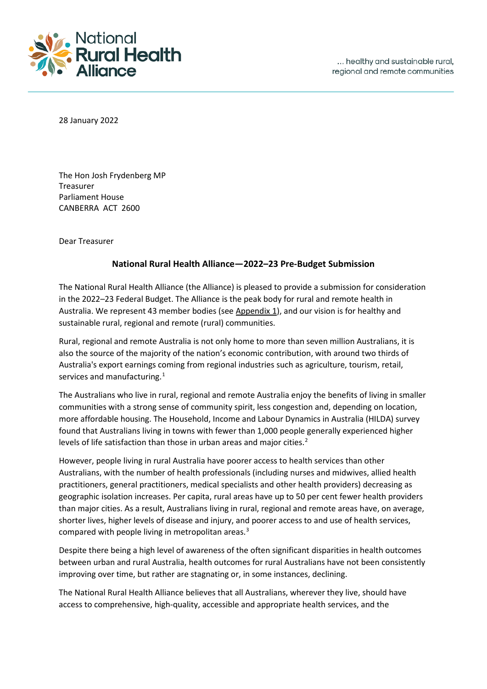

28 January 2022

The Hon Josh Frydenberg MP Treasurer Parliament House CANBERRA ACT 2600

Dear Treasurer

#### **National Rural Health Alliance—2022–23 Pre-Budget Submission**

The National Rural Health Alliance (the Alliance) is pleased to provide a submission for consideration in the 2022–23 Federal Budget. The Alliance is the peak body for rural and remote health in Australia. We represent 43 member bodies (see Appendix 1), and our vision is for healthy and sustainable rural, regional and remote (rural) communities.

Rural, regional and remote Australia is not only home to more than seven million Australians, it is also the source of the majority of the nation's economic contribution, with around two thirds of Australia's export earnings coming from regional industries such as agriculture, tourism, retail, services and manufacturing.<sup>[1](#page-13-0)</sup>

The Australians who live in rural, regional and remote Australia enjoy the benefits of living in smaller communities with a strong sense of community spirit, less congestion and, depending on location, more affordable housing. The Household, Income and Labour Dynamics in Australia (HILDA) survey found that Australians living in towns with fewer than 1,000 people generally experienced higher levels of life satisfaction than those in urban areas and major cities.<sup>[2](#page-13-1)</sup>

However, people living in rural Australia have poorer access to health services than other Australians, with the number of health professionals (including nurses and midwives, allied health practitioners, general practitioners, medical specialists and other health providers) decreasing as geographic isolation increases. Per capita, rural areas have up to 50 per cent fewer health providers than major cities. As a result, Australians living in rural, regional and remote areas have, on average, shorter lives, higher levels of disease and injury, and poorer access to and use of health services, compared with people living in metropolitan areas.<sup>[3](#page-13-2)</sup>

<span id="page-0-0"></span>Despite there being a high level of awareness of the often significant disparities in health outcomes between urban and rural Australia, health outcomes for rural Australians have not been consistently improving over time, but rather are stagnating or, in some instances, declining.

The National Rural Health Alliance believes that all Australians, wherever they live, should have access to comprehensive, high-quality, accessible and appropriate health services, and the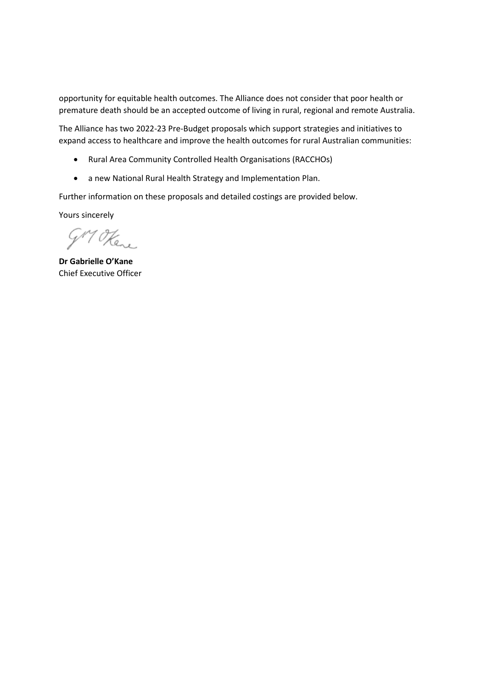opportunity for equitable health outcomes. The Alliance does not consider that poor health or premature death should be an accepted outcome of living in rural, regional and remote Australia.

The Alliance has two 2022-23 Pre-Budget proposals which support strategies and initiatives to expand access to healthcare and improve the health outcomes for rural Australian communities:

- Rural Area Community Controlled Health Organisations (RACCHOs)
- a new National Rural Health Strategy and Implementation Plan.

Further information on these proposals and detailed costings are provided below.

Yours sincerely

GM Here

**Dr Gabrielle O'Kane** Chief Executive Officer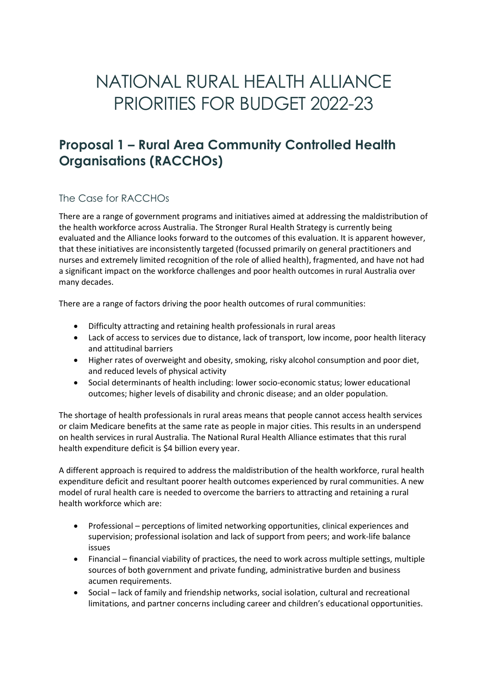# NATIONAL RURAL HEALTH ALLIANCE PRIORITIES FOR BUDGET 2022-23

# **Proposal 1 – Rural Area Community Controlled Health Organisations (RACCHOs)**

### The Case for RACCHOs

There are a range of government programs and initiatives aimed at addressing the maldistribution of the health workforce across Australia. The Stronger Rural Health Strategy is currently being evaluated and the Alliance looks forward to the outcomes of this evaluation. It is apparent however, that these initiatives are inconsistently targeted (focussed primarily on general practitioners and nurses and extremely limited recognition of the role of allied health), fragmented, and have not had a significant impact on the workforce challenges and poor health outcomes in rural Australia over many decades.

There are a range of factors driving the poor health outcomes of rural communities:

- Difficulty attracting and retaining health professionals in rural areas
- Lack of access to services due to distance, lack of transport, low income, poor health literacy and attitudinal barriers
- Higher rates of overweight and obesity, smoking, risky alcohol consumption and poor diet, and reduced levels of physical activity
- Social determinants of health including: lower socio-economic status; lower educational outcomes; higher levels of disability and chronic disease; and an older population.

The shortage of health professionals in rural areas means that people cannot access health services or claim Medicare benefits at the same rate as people in major cities. This results in an underspend on health services in rural Australia. The National Rural Health Alliance estimates that this rural health expenditure deficit is \$4 billion every year.

A different approach is required to address the maldistribution of the health workforce, rural health expenditure deficit and resultant poorer health outcomes experienced by rural communities. A new model of rural health care is needed to overcome the barriers to attracting and retaining a rural health workforce which are:

- Professional perceptions of limited networking opportunities, clinical experiences and supervision; professional isolation and lack of support from peers; and work-life balance issues
- Financial financial viability of practices, the need to work across multiple settings, multiple sources of both government and private funding, administrative burden and business acumen requirements.
- Social lack of family and friendship networks, social isolation, cultural and recreational limitations, and partner concerns including career and children's educational opportunities.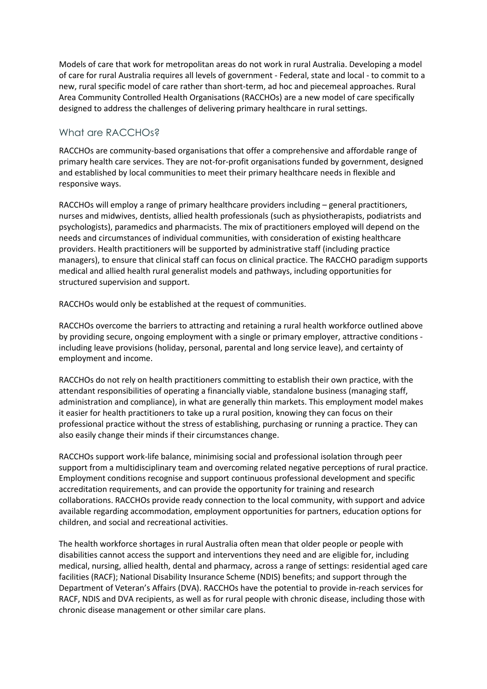Models of care that work for metropolitan areas do not work in rural Australia. Developing a model of care for rural Australia requires all levels of government - Federal, state and local - to commit to a new, rural specific model of care rather than short-term, ad hoc and piecemeal approaches. Rural Area Community Controlled Health Organisations (RACCHOs) are a new model of care specifically designed to address the challenges of delivering primary healthcare in rural settings.

#### What are RACCHOs?

RACCHOs are community-based organisations that offer a comprehensive and affordable range of primary health care services. They are not-for-profit organisations funded by government, designed and established by local communities to meet their primary healthcare needs in flexible and responsive ways.

RACCHOs will employ a range of primary healthcare providers including – general practitioners, nurses and midwives, dentists, allied health professionals (such as physiotherapists, podiatrists and psychologists), paramedics and pharmacists. The mix of practitioners employed will depend on the needs and circumstances of individual communities, with consideration of existing healthcare providers. Health practitioners will be supported by administrative staff (including practice managers), to ensure that clinical staff can focus on clinical practice. The RACCHO paradigm supports medical and allied health rural generalist models and pathways, including opportunities for structured supervision and support.

RACCHOs would only be established at the request of communities.

RACCHOs overcome the barriers to attracting and retaining a rural health workforce outlined above by providing secure, ongoing employment with a single or primary employer, attractive conditions including leave provisions (holiday, personal, parental and long service leave), and certainty of employment and income.

RACCHOs do not rely on health practitioners committing to establish their own practice, with the attendant responsibilities of operating a financially viable, standalone business (managing staff, administration and compliance), in what are generally thin markets. This employment model makes it easier for health practitioners to take up a rural position, knowing they can focus on their professional practice without the stress of establishing, purchasing or running a practice. They can also easily change their minds if their circumstances change.

RACCHOs support work-life balance, minimising social and professional isolation through peer support from a multidisciplinary team and overcoming related negative perceptions of rural practice. Employment conditions recognise and support continuous professional development and specific accreditation requirements, and can provide the opportunity for training and research collaborations. RACCHOs provide ready connection to the local community, with support and advice available regarding accommodation, employment opportunities for partners, education options for children, and social and recreational activities.

The health workforce shortages in rural Australia often mean that older people or people with disabilities cannot access the support and interventions they need and are eligible for, including medical, nursing, allied health, dental and pharmacy, across a range of settings: residential aged care facilities (RACF); National Disability Insurance Scheme (NDIS) benefits; and support through the Department of Veteran's Affairs (DVA). RACCHOs have the potential to provide in-reach services for RACF, NDIS and DVA recipients, as well as for rural people with chronic disease, including those with chronic disease management or other similar care plans.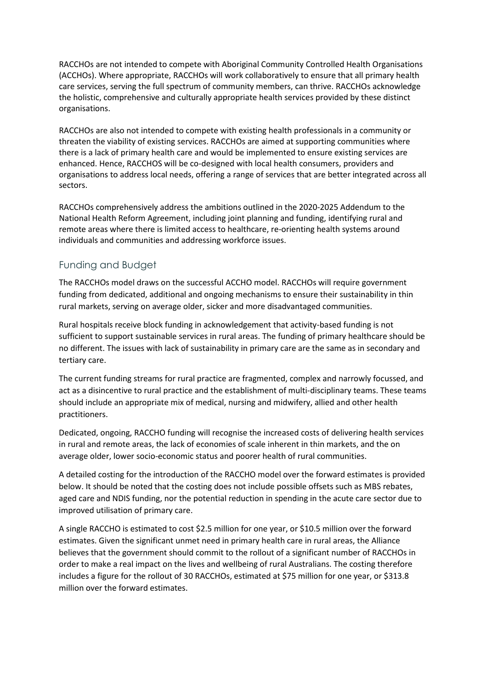RACCHOs are not intended to compete with Aboriginal Community Controlled Health Organisations (ACCHOs). Where appropriate, RACCHOs will work collaboratively to ensure that all primary health care services, serving the full spectrum of community members, can thrive. RACCHOs acknowledge the holistic, comprehensive and culturally appropriate health services provided by these distinct organisations.

RACCHOs are also not intended to compete with existing health professionals in a community or threaten the viability of existing services. RACCHOs are aimed at supporting communities where there is a lack of primary health care and would be implemented to ensure existing services are enhanced. Hence, RACCHOS will be co-designed with local health consumers, providers and organisations to address local needs, offering a range of services that are better integrated across all sectors.

RACCHOs comprehensively address the ambitions outlined in the 2020-2025 Addendum to the National Health Reform Agreement, including joint planning and funding, identifying rural and remote areas where there is limited access to healthcare, re-orienting health systems around individuals and communities and addressing workforce issues.

### Funding and Budget

The RACCHOs model draws on the successful ACCHO model. RACCHOs will require government funding from dedicated, additional and ongoing mechanisms to ensure their sustainability in thin rural markets, serving on average older, sicker and more disadvantaged communities.

Rural hospitals receive block funding in acknowledgement that activity-based funding is not sufficient to support sustainable services in rural areas. The funding of primary healthcare should be no different. The issues with lack of sustainability in primary care are the same as in secondary and tertiary care.

The current funding streams for rural practice are fragmented, complex and narrowly focussed, and act as a disincentive to rural practice and the establishment of multi-disciplinary teams. These teams should include an appropriate mix of medical, nursing and midwifery, allied and other health practitioners.

Dedicated, ongoing, RACCHO funding will recognise the increased costs of delivering health services in rural and remote areas, the lack of economies of scale inherent in thin markets, and the on average older, lower socio-economic status and poorer health of rural communities.

A detailed costing for the introduction of the RACCHO model over the forward estimates is provided below. It should be noted that the costing does not include possible offsets such as MBS rebates, aged care and NDIS funding, nor the potential reduction in spending in the acute care sector due to improved utilisation of primary care.

A single RACCHO is estimated to cost \$2.5 million for one year, or \$10.5 million over the forward estimates. Given the significant unmet need in primary health care in rural areas, the Alliance believes that the government should commit to the rollout of a significant number of RACCHOs in order to make a real impact on the lives and wellbeing of rural Australians. The costing therefore includes a figure for the rollout of 30 RACCHOs, estimated at \$75 million for one year, or \$313.8 million over the forward estimates.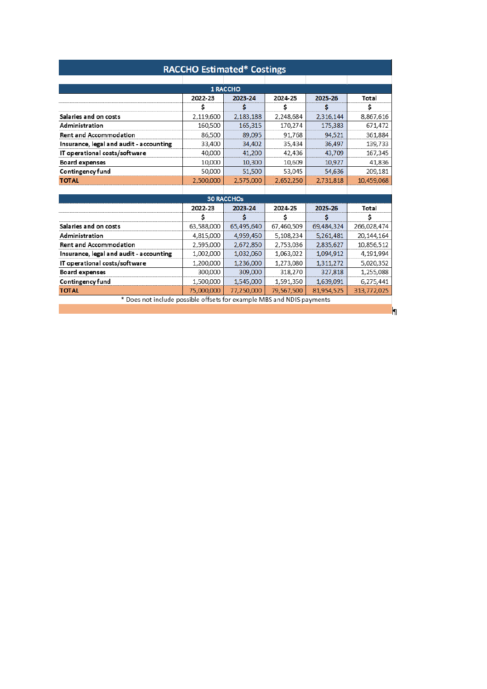| <b>RACCHO Estimated* Costings</b>                                     |                                          |            |            |            |             |  |  |  |
|-----------------------------------------------------------------------|------------------------------------------|------------|------------|------------|-------------|--|--|--|
|                                                                       |                                          |            |            |            |             |  |  |  |
| <b>1 RACCHO</b>                                                       |                                          |            |            |            |             |  |  |  |
|                                                                       | 2022-23                                  | 2023-24    | 2024-25    | 2025-26    | Total       |  |  |  |
|                                                                       | Ś                                        | s          | Ś          | S          | Ś           |  |  |  |
| Salaries and on costs                                                 | 2,119,600                                | 2,183,188  | 2,248,684  | 2,316,144  | 8,867,616   |  |  |  |
| Administration                                                        | 160,500                                  | 165,315    | 170,274    | 175,383    | 671,472     |  |  |  |
| <b>Rent and Accommodation</b>                                         | 86,500                                   | 89,095     | 91,768     | 94.521     | 361,884     |  |  |  |
| Insurance, legal and audit - accounting                               | 33,400                                   | 34,402     | 35.434     | 36,497     | 139,733     |  |  |  |
| IT operational costs/software                                         | 40,000                                   | 41,200     | 42,436     | 43,709     | 167,345     |  |  |  |
| Board expenses                                                        | 10,000                                   | 10,300     | 10,609     | 10,927     | 41,836      |  |  |  |
| Contingency fund                                                      | 50,000                                   | 51,500     | 53,045     | 54,636     | 209,181     |  |  |  |
| <b>TOTAL</b>                                                          | 2,500,000                                | 2,575,000  | 2,652,250  | 2,731,818  | 10,459,068  |  |  |  |
|                                                                       |                                          |            |            |            |             |  |  |  |
| <b>30 RACCHOs</b>                                                     |                                          |            |            |            |             |  |  |  |
|                                                                       | 2025-26<br>2022-23<br>2023-24<br>2024-25 |            | Total      |            |             |  |  |  |
|                                                                       | Ś                                        |            | Ś          |            | Ś           |  |  |  |
| Salaries and on costs                                                 | 63,588,000                               | 65,495,640 | 67,460,509 | 69,484,324 | 266,028,474 |  |  |  |
| Administration                                                        | 4,815,000                                | 4,959,450  | 5,108,234  | 5,261,481  | 20,144,164  |  |  |  |
| <b>Rent and Accommodation</b>                                         | 2,595,000                                | 2,672,850  | 2,753,036  | 2,835,627  | 10,856,512  |  |  |  |
| Insurance, legal and audit - accounting                               | 1,002,000                                | 1,032,060  | 1,063,022  | 1,094,912  | 4,191,994   |  |  |  |
| IT operational costs/software                                         | 1,200,000                                | 1,236,000  | 1,273,080  | 1,311,272  | 5,020,352   |  |  |  |
| <b>Board expenses</b>                                                 | 300,000                                  | 309,000    | 318,270    | 327,818    | 1,255,088   |  |  |  |
| Contingency fund                                                      | 1,500,000                                | 1,545,000  | 1,591,350  | 1,639,091  | 6,275,441   |  |  |  |
| <b>TOTAL</b>                                                          | 75,000,000                               | 77,250,000 | 79,567,500 | 81,954,525 | 313,772,025 |  |  |  |
| * Does not include possible offsets for example MBS and NDIS payments |                                          |            |            |            |             |  |  |  |
|                                                                       |                                          |            |            |            |             |  |  |  |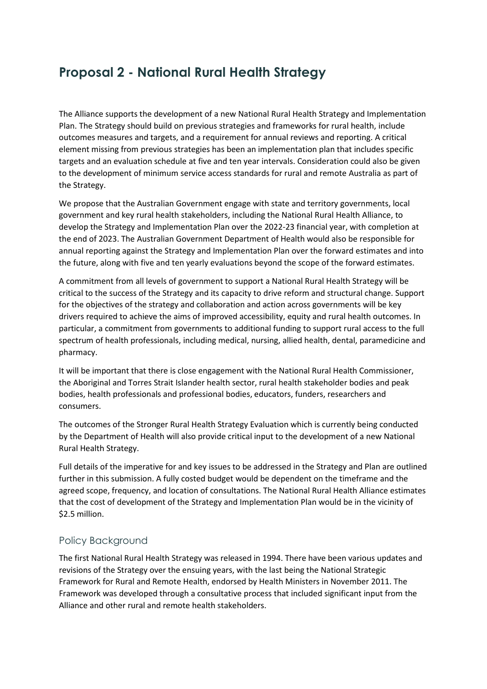# **Proposal 2 - National Rural Health Strategy**

The Alliance supports the development of a new National Rural Health Strategy and Implementation Plan. The Strategy should build on previous strategies and frameworks for rural health, include outcomes measures and targets, and a requirement for annual reviews and reporting. A critical element missing from previous strategies has been an implementation plan that includes specific targets and an evaluation schedule at five and ten year intervals. Consideration could also be given to the development of minimum service access standards for rural and remote Australia as part of the Strategy.

We propose that the Australian Government engage with state and territory governments, local government and key rural health stakeholders, including the National Rural Health Alliance, to develop the Strategy and Implementation Plan over the 2022-23 financial year, with completion at the end of 2023. The Australian Government Department of Health would also be responsible for annual reporting against the Strategy and Implementation Plan over the forward estimates and into the future, along with five and ten yearly evaluations beyond the scope of the forward estimates.

A commitment from all levels of government to support a National Rural Health Strategy will be critical to the success of the Strategy and its capacity to drive reform and structural change. Support for the objectives of the strategy and collaboration and action across governments will be key drivers required to achieve the aims of improved accessibility, equity and rural health outcomes. In particular, a commitment from governments to additional funding to support rural access to the full spectrum of health professionals, including medical, nursing, allied health, dental, paramedicine and pharmacy.

It will be important that there is close engagement with the National Rural Health Commissioner, the Aboriginal and Torres Strait Islander health sector, rural health stakeholder bodies and peak bodies, health professionals and professional bodies, educators, funders, researchers and consumers.

The outcomes of the Stronger Rural Health Strategy Evaluation which is currently being conducted by the Department of Health will also provide critical input to the development of a new National Rural Health Strategy.

Full details of the imperative for and key issues to be addressed in the Strategy and Plan are outlined further in this submission. A fully costed budget would be dependent on the timeframe and the agreed scope, frequency, and location of consultations. The National Rural Health Alliance estimates that the cost of development of the Strategy and Implementation Plan would be in the vicinity of \$2.5 million.

### Policy Background

The first National Rural Health Strategy was released in 1994. There have been various updates and revisions of the Strategy over the ensuing years, with the last being the National Strategic Framework for Rural and Remote Health, endorsed by Health Ministers in November 2011. The Framework was developed through a consultative process that included significant input from the Alliance and other rural and remote health stakeholders.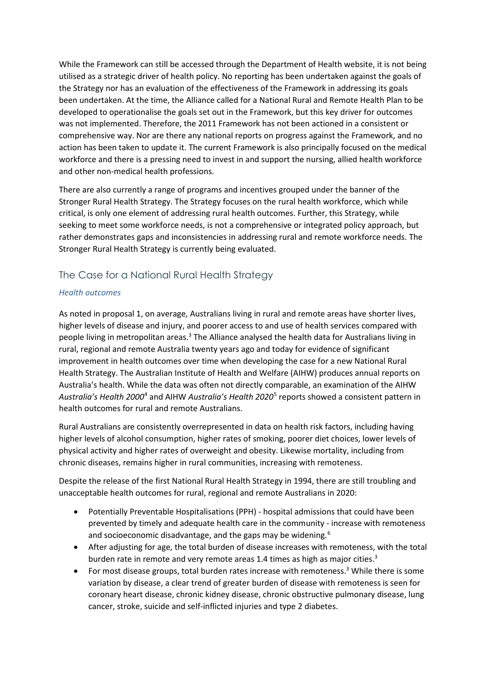While the Framework can still be accessed through the Department of Health website, it is not being utilised as a strategic driver of health policy. No reporting has been undertaken against the goals of the Strategy nor has an evaluation of the effectiveness of the Framework in addressing its goals been undertaken. At the time, the Alliance called for a National Rural and Remote Health Plan to be developed to operationalise the goals set out in the Framework, but this key driver for outcomes was not implemented. Therefore, the 2011 Framework has not been actioned in a consistent or comprehensive way. Nor are there any national reports on progress against the Framework, and no action has been taken to update it. The current Framework is also principally focused on the medical workforce and there is a pressing need to invest in and support the nursing, allied health workforce and other non-medical health professions.

There are also currently a range of programs and incentives grouped under the banner of the Stronger Rural Health Strategy. The Strategy focuses on the rural health workforce, which while critical, is only one element of addressing rural health outcomes. Further, this Strategy, while seeking to meet some workforce needs, is not a comprehensive or integrated policy approach, but rather demonstrates gaps and inconsistencies in addressing rural and remote workforce needs. The Stronger Rural Health Strategy is currently being evaluated.

## The Case for a National Rural Health Strategy

#### *Health outcomes*

As noted in proposal 1, on average, Australians living in rural and remote areas have shorter lives, higher levels of disease and injury, and poorer access to and use of health services compared with people living in metropolitan areas.<sup>3</sup> The Alliance analysed the health data for Australians living in rural, regional and remote Australia twenty years ago and today for evidence of significant improvement in health outcomes over time when developing the case for a new National Rural Health Strategy. The Australian Institute of Health and Welfare (AIHW) produces annual reports on Australia's health. While the data was often not directly comparable, an examination of the AIHW *Australia's Health 2000*[4](#page-13-3) and AIHW *Australia's Health 2020*[5](#page-13-4) reports showed a consistent pattern in health outcomes for rural and remote Australians.

<span id="page-7-1"></span><span id="page-7-0"></span>Rural Australians are consistently overrepresented in data on health risk factors, including having higher levels of alcohol consumption, higher rates of smoking, poorer diet choices, lower levels of physical activity and higher rates of overweight and obesity. Likewise mortality, including from chronic diseases, remains higher in rural communities, increasing with remoteness.

Despite the release of the first National Rural Health Strategy in 1994, there are still troubling and unacceptable health outcomes for rural, regional and remote Australians in 2020:

- Potentially Preventable Hospitalisations (PPH) hospital admissions that could have been prevented by timely and adequate health care in the community - increase with remoteness and socioeconomic disadvantage, and the gaps may be widening.<sup>[6](#page-13-5)</sup>
- After adjusting for age, the total burden of disease increases with remoteness, with the total burden rate in remote and very remote areas 1.4 times as high as major cities.<sup>3</sup>
- For most disease groups, total burden rates increase with remoteness.<sup>[3](#page-0-0)</sup> While there is some variation by disease, a clear trend of greater burden of disease with remoteness is seen for coronary heart disease, chronic kidney disease, chronic obstructive pulmonary disease, lung cancer, stroke, suicide and self-inflicted injuries and type 2 diabetes.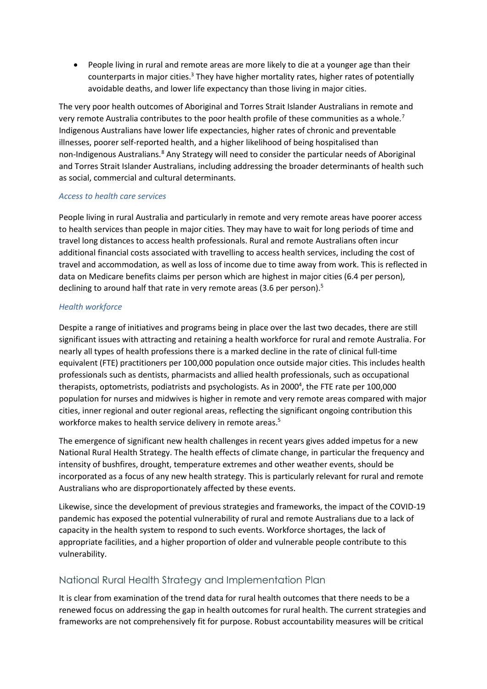• People living in rural and remote areas are more likely to die at a younger age than their counterparts in major cities[.](#page-0-0)<sup>3</sup> They have higher mortality rates, higher rates of potentially avoidable deaths, and lower life expectancy than those living in major cities.

The very poor health outcomes of Aboriginal and Torres Strait Islander Australians in remote and very remote Australia contributes to the poor health profile of these communities as a whole.<sup>[7](#page-13-6)</sup> Indigenous Australians have lower life expectancies, higher rates of chronic and preventable illnesses, poorer self-reported health, and a higher likelihood of being hospitalised than non-Indigenous Australians.<sup>[8](#page-13-7)</sup> Any Strategy will need to consider the particular needs of Aboriginal and Torres Strait Islander Australians, including addressing the broader determinants of health such as social, commercial and cultural determinants.

#### *Access to health care services*

People living in rural Australia and particularly in remote and very remote areas have poorer access to health services than people in major cities. They may have to wait for long periods of time and travel long distances to access health professionals. Rural and remote Australians often incur additional financial costs associated with travelling to access health services, including the cost of travel and accommodation, as well as loss of income due to time away from work. This is reflected in data on Medicare benefits claims per person which are highest in major cities (6.4 per person), declining to around half that rate in very remote areas (3.6 per person)[.](#page-7-0) 5

#### *Health workforce*

Despite a range of initiatives and programs being in place over the last two decades, there are still significant issues with attracting and retaining a health workforce for rural and remote Australia. For nearly all types of health professions there is a marked decline in the rate of clinical full-time equivalent (FTE) practitioners per 100,000 population once outside major cities. This includes health professionals such as dentists, pharmacists and allied health professionals, such as occupational therapists, optometrists, podiatrists and psychologists. As in 2000<sup>4</sup>, the FTE rate per 100,000 population for nurses and midwives is higher in remote and very remote areas compared with major cities, inner regional and outer regional areas, reflecting the significant ongoing contribution this workforce makes to health service delivery in remote areas[.](#page-7-0)<sup>5</sup>

The emergence of significant new health challenges in recent years gives added impetus for a new National Rural Health Strategy. The health effects of climate change, in particular the frequency and intensity of bushfires, drought, temperature extremes and other weather events, should be incorporated as a focus of any new health strategy. This is particularly relevant for rural and remote Australians who are disproportionately affected by these events.

Likewise, since the development of previous strategies and frameworks, the impact of the COVID-19 pandemic has exposed the potential vulnerability of rural and remote Australians due to a lack of capacity in the health system to respond to such events. Workforce shortages, the lack of appropriate facilities, and a higher proportion of older and vulnerable people contribute to this vulnerability.

#### National Rural Health Strategy and Implementation Plan

It is clear from examination of the trend data for rural health outcomes that there needs to be a renewed focus on addressing the gap in health outcomes for rural health. The current strategies and frameworks are not comprehensively fit for purpose. Robust accountability measures will be critical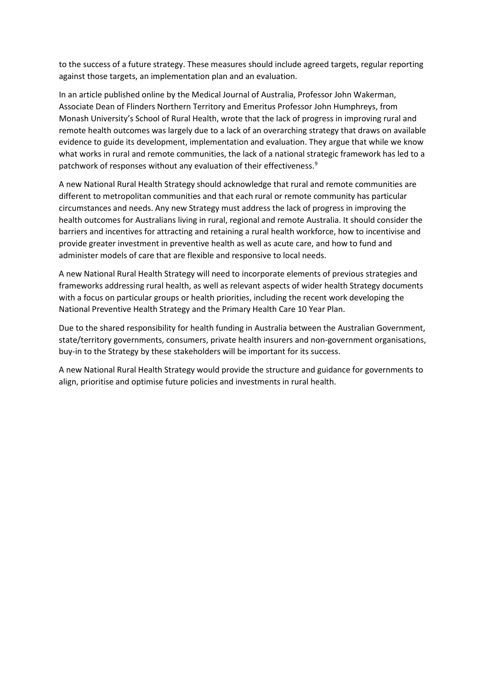to the success of a future strategy. These measures should include agreed targets, regular reporting against those targets, an implementation plan and an evaluation.

In an article published online by the Medical Journal of Australia, Professor John Wakerman, Associate Dean of Flinders Northern Territory and Emeritus Professor John Humphreys, from Monash University's School of Rural Health, wrote that the lack of progress in improving rural and remote health outcomes was largely due to a lack of an overarching strategy that draws on available evidence to guide its development, implementation and evaluation. They argue that while we know what works in rural and remote communities, the lack of a national strategic framework has led to a patchwork of responses without any evaluation of their effectiveness.<sup>[9](#page-13-8)</sup>

A new National Rural Health Strategy should acknowledge that rural and remote communities are different to metropolitan communities and that each rural or remote community has particular circumstances and needs. Any new Strategy must address the lack of progress in improving the health outcomes for Australians living in rural, regional and remote Australia. It should consider the barriers and incentives for attracting and retaining a rural health workforce, how to incentivise and provide greater investment in preventive health as well as acute care, and how to fund and administer models of care that are flexible and responsive to local needs.

A new National Rural Health Strategy will need to incorporate elements of previous strategies and frameworks addressing rural health, as well as relevant aspects of wider health Strategy documents with a focus on particular groups or health priorities, including the recent work developing the National Preventive Health Strategy and the Primary Health Care 10 Year Plan.

Due to the shared responsibility for health funding in Australia between the Australian Government, state/territory governments, consumers, private health insurers and non-government organisations, buy-in to the Strategy by these stakeholders will be important for its success.

A new National Rural Health Strategy would provide the structure and guidance for governments to align, prioritise and optimise future policies and investments in rural health.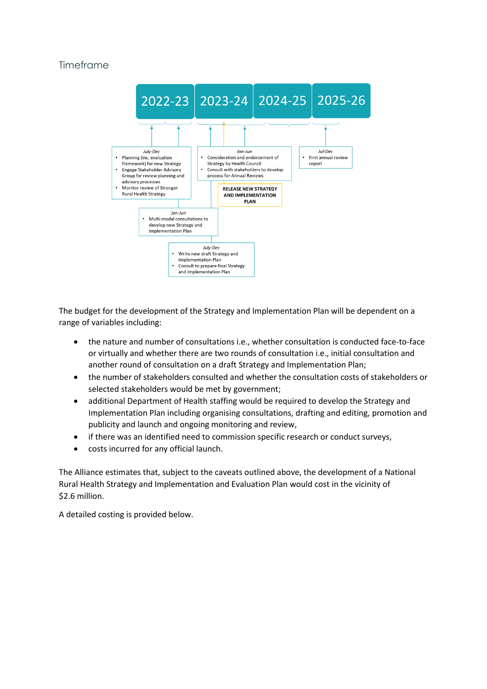### Timeframe



The budget for the development of the Strategy and Implementation Plan will be dependent on a range of variables including:

- the nature and number of consultations i.e., whether consultation is conducted face-to-face or virtually and whether there are two rounds of consultation i.e., initial consultation and another round of consultation on a draft Strategy and Implementation Plan;
- the number of stakeholders consulted and whether the consultation costs of stakeholders or selected stakeholders would be met by government;
- additional Department of Health staffing would be required to develop the Strategy and Implementation Plan including organising consultations, drafting and editing, promotion and publicity and launch and ongoing monitoring and review,
- if there was an identified need to commission specific research or conduct surveys,
- costs incurred for any official launch.

The Alliance estimates that, subject to the caveats outlined above, the development of a National Rural Health Strategy and Implementation and Evaluation Plan would cost in the vicinity of \$2.6 million.

A detailed costing is provided below.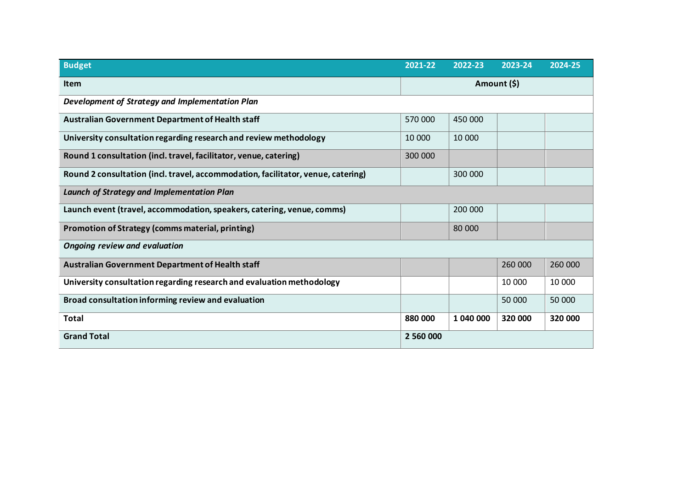| <b>Budget</b>                                                                    | 2021-22     | 2022-23   | 2023-24 | 2024-25 |
|----------------------------------------------------------------------------------|-------------|-----------|---------|---------|
| <b>Item</b>                                                                      | Amount (\$) |           |         |         |
| Development of Strategy and Implementation Plan                                  |             |           |         |         |
| Australian Government Department of Health staff                                 | 570 000     | 450 000   |         |         |
| University consultation regarding research and review methodology                | 10 000      | 10 000    |         |         |
| Round 1 consultation (incl. travel, facilitator, venue, catering)                | 300 000     |           |         |         |
| Round 2 consultation (incl. travel, accommodation, facilitator, venue, catering) |             | 300 000   |         |         |
| <b>Launch of Strategy and Implementation Plan</b>                                |             |           |         |         |
| Launch event (travel, accommodation, speakers, catering, venue, comms)           |             | 200 000   |         |         |
| Promotion of Strategy (comms material, printing)                                 |             | 80 000    |         |         |
| <b>Ongoing review and evaluation</b>                                             |             |           |         |         |
| <b>Australian Government Department of Health staff</b>                          |             |           | 260 000 | 260 000 |
| University consultation regarding research and evaluation methodology            |             |           | 10 000  | 10 000  |
| Broad consultation informing review and evaluation                               |             |           | 50 000  | 50 000  |
| <b>Total</b>                                                                     | 880 000     | 1 040 000 | 320 000 | 320 000 |
| <b>Grand Total</b>                                                               | 2 560 000   |           |         |         |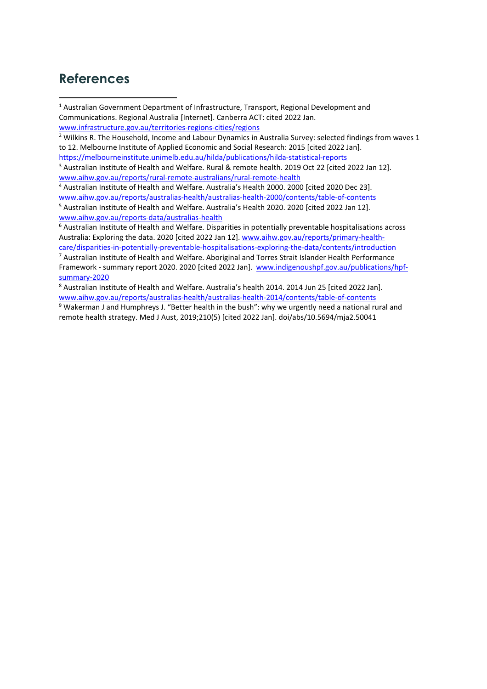# **References**

<sup>1</sup> Australian Government Department of Infrastructure, Transport, Regional Development and Communications. Regional Australia [Internet]. Canberra ACT: cited 2022 Jan. [www.infrastructure.gov.au/territories-regions-cities/regions](http://www.infrastructure.gov.au/territories-regions-cities/regions)

<sup>2</sup> Wilkins R. The Household, Income and Labour Dynamics in Australia Survey: selected findings from waves 1 [to 12.](https://melbourneinstitute.unimelb.edu.au/__data/assets/pdf_file/0006/2155506/hilda-statreport-2015.pdf) Melbourne Institute of Applied Economic and Social Research: 2015 [cited 2022 Jan]. <https://melbourneinstitute.unimelb.edu.au/hilda/publications/hilda-statistical-reports>

<sup>3</sup> Australian Institute of Health and Welfare. Rural & remote health. 2019 Oct 22 [cited 2022 Jan 12]. [www.aihw.gov.au/reports/rural-remote-australians/rural-remote-health](http://www.aihw.gov.au/reports/rural-remote-australians/rural-remote-health)

<sup>4</sup> Australian Institute of Health and Welfare. Australia's Health 2000. 2000 [cited 2020 Dec 23]. [www.aihw.gov.au/reports/australias-health/australias-health-2000/contents/table-of-contents](http://www.aihw.gov.au/reports/australias-health/australias-health-2000/contents/table-of-contents)

<sup>5</sup> Australian Institute of Health and Welfare. Australia's Health 2020. 2020 [cited 2022 Jan 12]. [www.aihw.gov.au/reports-data/australias-health](http://www.aihw.gov.au/reports-data/australias-health)

<sup>6</sup> Australian Institute of Health and Welfare. Disparities in potentially preventable hospitalisations across Australia: Exploring the data. 2020 [cited 2022 Jan 12]. [www.aihw.gov.au/reports/primary-health](http://www.aihw.gov.au/reports/primary-health-care/disparities-in-potentially-preventable-hospitalisations-exploring-the-data/contents/introduction)[care/disparities-in-potentially-preventable-hospitalisations-exploring-the-data/contents/introduction](http://www.aihw.gov.au/reports/primary-health-care/disparities-in-potentially-preventable-hospitalisations-exploring-the-data/contents/introduction)

 $7$  Australian Institute of Health and Welfare. Aboriginal and Torres Strait Islander Health Performance Framework - summary report 2020. 2020 [cited 2022 Jan]. [www.indigenoushpf.gov.au/publications/hpf](http://www.indigenoushpf.gov.au/publications/hpf-summary-2020)[summary-2020](http://www.indigenoushpf.gov.au/publications/hpf-summary-2020)

<sup>8</sup> Australian Institute of Health and Welfare. Australia's health 2014. 2014 Jun 25 [cited 2022 Jan]. [www.aihw.gov.au/reports/australias-health/australias-health-2014/contents/table-of-contents](http://www.aihw.gov.au/reports/australias-health/australias-health-2014/contents/table-of-contents)

<sup>9</sup> Wakerman J and Humphreys J. "Better health in the bush": why we urgently need a national rural and remote health strategy. Med J Aust, 2019;210(5) [cited 2022 Jan]. doi/abs/10.5694/mja2.50041